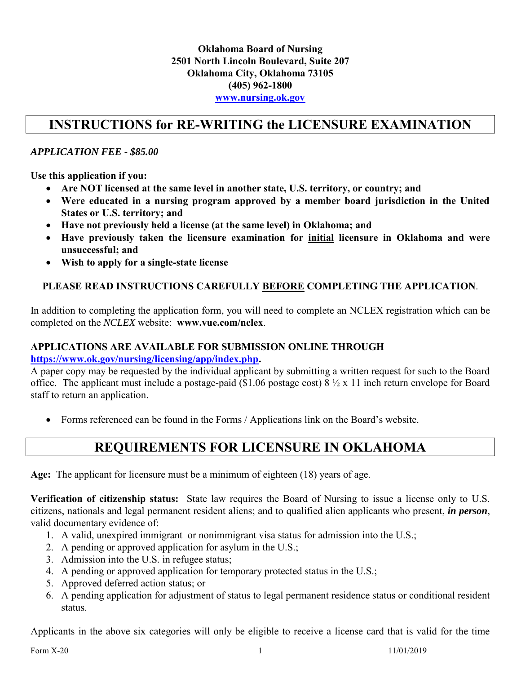#### **Oklahoma Board of Nursing 2501 North Lincoln Boulevard, Suite 207 Oklahoma City, Oklahoma 73105 (405) 962-1800 [www.nursing.ok.gov](http://www.ok.gov/nursing)**

### **INSTRUCTIONS for RE-WRITING the LICENSURE EXAMINATION**

### *APPLICATION FEE - \$85.00*

**Use this application if you:**

- **Are NOT licensed at the same level in another state, U.S. territory, or country; and**
- **Were educated in a nursing program approved by a member board jurisdiction in the United States or U.S. territory; and**
- **Have not previously held a license (at the same level) in Oklahoma; and**
- **Have previously taken the licensure examination for initial licensure in Oklahoma and were unsuccessful; and**
- **Wish to apply for a single-state license**

#### **PLEASE READ INSTRUCTIONS CAREFULLY BEFORE COMPLETING THE APPLICATION**.

In addition to completing the application form, you will need to complete an NCLEX registration which can be completed on the *NCLEX* website: **www.vue.com/nclex**.

#### **APPLICATIONS ARE AVAILABLE FOR SUBMISSION ONLINE THROUGH**

**[https://www.ok.gov/nursing/licensing/app/index.php.](https://www.ok.gov/nursing/licensing/app/index.php)** 

A paper copy may be requested by the individual applicant by submitting a written request for such to the Board office. The applicant must include a postage-paid (\$1.06 postage cost) 8 ½ x 11 inch return envelope for Board staff to return an application.

Forms referenced can be found in the Forms / Applications link on the Board's website.

### **REQUIREMENTS FOR LICENSURE IN OKLAHOMA**

**Age:** The applicant for licensure must be a minimum of eighteen (18) years of age.

**Verification of citizenship status:** State law requires the Board of Nursing to issue a license only to U.S. citizens, nationals and legal permanent resident aliens; and to qualified alien applicants who present, *in person*, valid documentary evidence of:

- 1. A valid, unexpired immigrant or nonimmigrant visa status for admission into the U.S.;
- 2. A pending or approved application for asylum in the U.S.;
- 3. Admission into the U.S. in refugee status;
- 4. A pending or approved application for temporary protected status in the U.S.;
- 5. Approved deferred action status; or
- 6. A pending application for adjustment of status to legal permanent residence status or conditional resident status.

Applicants in the above six categories will only be eligible to receive a license card that is valid for the time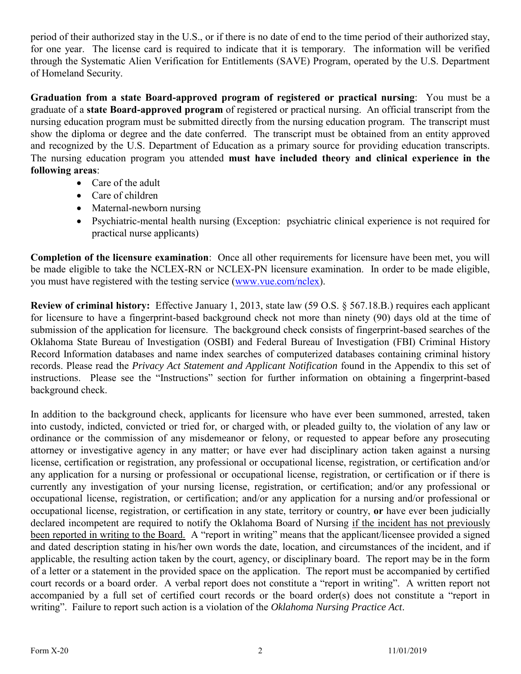period of their authorized stay in the U.S., or if there is no date of end to the time period of their authorized stay, for one year. The license card is required to indicate that it is temporary. The information will be verified through the Systematic Alien Verification for Entitlements (SAVE) Program, operated by the U.S. Department of Homeland Security.

**Graduation from a state Board-approved program of registered or practical nursing**: You must be a graduate of a **state Board-approved program** of registered or practical nursing. An official transcript from the nursing education program must be submitted directly from the nursing education program. The transcript must show the diploma or degree and the date conferred. The transcript must be obtained from an entity approved and recognized by the U.S. Department of Education as a primary source for providing education transcripts. The nursing education program you attended **must have included theory and clinical experience in the following areas**:

- Care of the adult
- Care of children
- Maternal-newborn nursing
- Psychiatric-mental health nursing (Exception: psychiatric clinical experience is not required for practical nurse applicants)

**Completion of the licensure examination**: Once all other requirements for licensure have been met, you will be made eligible to take the NCLEX-RN or NCLEX-PN licensure examination. In order to be made eligible, you must have registered with the testing service [\(www.vue.com/nclex\)](Drafts/Rules%20082715/www.vue.com/nclex).

**Review of criminal history:** Effective January 1, 2013, state law (59 O.S. § 567.18.B.) requires each applicant for licensure to have a fingerprint-based background check not more than ninety (90) days old at the time of submission of the application for licensure. The background check consists of fingerprint-based searches of the Oklahoma State Bureau of Investigation (OSBI) and Federal Bureau of Investigation (FBI) Criminal History Record Information databases and name index searches of computerized databases containing criminal history records. Please read the *Privacy Act Statement and Applicant Notification* found in the Appendix to this set of instructions. Please see the "Instructions" section for further information on obtaining a fingerprint-based background check.

In addition to the background check, applicants for licensure who have ever been summoned, arrested, taken into custody, indicted, convicted or tried for, or charged with, or pleaded guilty to, the violation of any law or ordinance or the commission of any misdemeanor or felony, or requested to appear before any prosecuting attorney or investigative agency in any matter; or have ever had disciplinary action taken against a nursing license, certification or registration, any professional or occupational license, registration, or certification and/or any application for a nursing or professional or occupational license, registration, or certification or if there is currently any investigation of your nursing license, registration, or certification; and/or any professional or occupational license, registration, or certification; and/or any application for a nursing and/or professional or occupational license, registration, or certification in any state, territory or country, **or** have ever been judicially declared incompetent are required to notify the Oklahoma Board of Nursing if the incident has not previously been reported in writing to the Board. A "report in writing" means that the applicant/licensee provided a signed and dated description stating in his/her own words the date, location, and circumstances of the incident, and if applicable, the resulting action taken by the court, agency, or disciplinary board. The report may be in the form of a letter or a statement in the provided space on the application. The report must be accompanied by certified court records or a board order. A verbal report does not constitute a "report in writing". A written report not accompanied by a full set of certified court records or the board order(s) does not constitute a "report in writing". Failure to report such action is a violation of the *Oklahoma Nursing Practice Act*.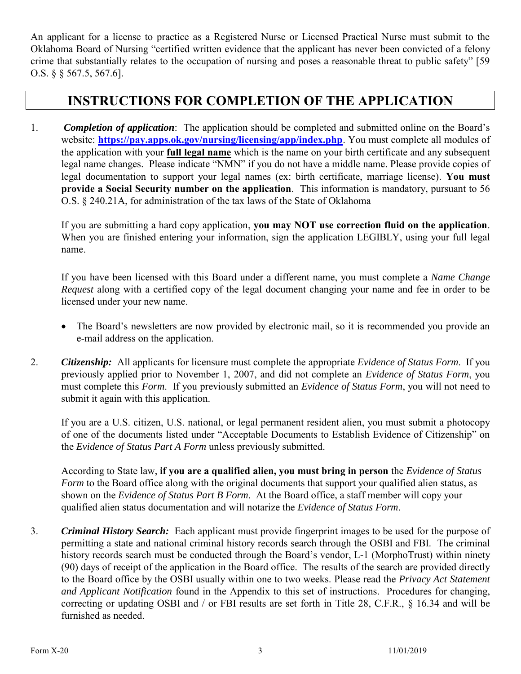An applicant for a license to practice as a Registered Nurse or Licensed Practical Nurse must submit to the Oklahoma Board of Nursing "certified written evidence that the applicant has never been convicted of a felony crime that substantially relates to the occupation of nursing and poses a reasonable threat to public safety" [59 O.S. § § 567.5, 567.6].

## **INSTRUCTIONS FOR COMPLETION OF THE APPLICATION**

1. *Completion of application*: The application should be completed and submitted online on the Board's website: **<https://pay.apps.ok.gov/nursing/licensing/app/index.php>**. You must complete all modules of the application with your **full legal name** which is the name on your birth certificate and any subsequent legal name changes. Please indicate "NMN" if you do not have a middle name. Please provide copies of legal documentation to support your legal names (ex: birth certificate, marriage license). **You must provide a Social Security number on the application**. This information is mandatory, pursuant to 56 O.S. § 240.21A, for administration of the tax laws of the State of Oklahoma

If you are submitting a hard copy application, **you may NOT use correction fluid on the application**. When you are finished entering your information, sign the application LEGIBLY, using your full legal name.

If you have been licensed with this Board under a different name, you must complete a *Name Change Request* along with a certified copy of the legal document changing your name and fee in order to be licensed under your new name.

- The Board's newsletters are now provided by electronic mail, so it is recommended you provide an e-mail address on the application.
- 2. *Citizenship:* All applicants for licensure must complete the appropriate *Evidence of Status Form*. If you previously applied prior to November 1, 2007, and did not complete an *Evidence of Status Form*, you must complete this *Form*. If you previously submitted an *Evidence of Status Form*, you will not need to submit it again with this application.

If you are a U.S. citizen, U.S. national, or legal permanent resident alien, you must submit a photocopy of one of the documents listed under "Acceptable Documents to Establish Evidence of Citizenship" on the *Evidence of Status Part A Form* unless previously submitted.

According to State law, **if you are a qualified alien, you must bring in person** the *Evidence of Status Form* to the Board office along with the original documents that support your qualified alien status, as shown on the *Evidence of Status Part B Form*. At the Board office, a staff member will copy your qualified alien status documentation and will notarize the *Evidence of Status Form*.

3. *Criminal History Search:* Each applicant must provide fingerprint images to be used for the purpose of permitting a state and national criminal history records search through the OSBI and FBI. The criminal history records search must be conducted through the Board's vendor, L-1 (MorphoTrust) within ninety (90) days of receipt of the application in the Board office. The results of the search are provided directly to the Board office by the OSBI usually within one to two weeks. Please read the *Privacy Act Statement and Applicant Notification* found in the Appendix to this set of instructions. Procedures for changing, correcting or updating OSBI and / or FBI results are set forth in Title 28, C.F.R., § 16.34 and will be furnished as needed.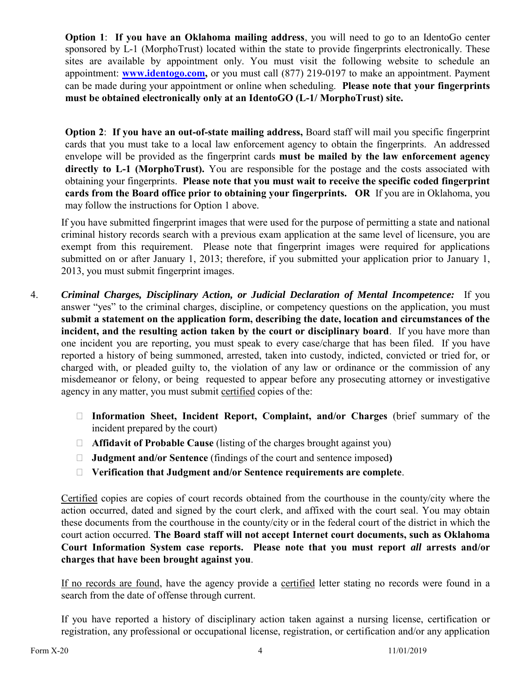**Option 1**: **If you have an Oklahoma mailing address**, you will need to go to an IdentoGo center sponsored by L-1 (MorphoTrust) located within the state to provide fingerprints electronically. These sites are available by appointment only. You must visit the following website to schedule an appointment: **[www.identogo.com,](http://www.identogo.com/)** or you must call (877) 219-0197 to make an appointment. Payment can be made during your appointment or online when scheduling. **Please note that your fingerprints must be obtained electronically only at an IdentoGO (L-1/ MorphoTrust) site.**

**Option 2**: **If you have an out-of-state mailing address,** Board staff will mail you specific fingerprint cards that you must take to a local law enforcement agency to obtain the fingerprints. An addressed envelope will be provided as the fingerprint cards **must be mailed by the law enforcement agency directly to L-1 (MorphoTrust).** You are responsible for the postage and the costs associated with obtaining your fingerprints. **Please note that you must wait to receive the specific coded fingerprint cards from the Board office prior to obtaining your fingerprints. OR** If you are in Oklahoma, you may follow the instructions for Option 1 above.

If you have submitted fingerprint images that were used for the purpose of permitting a state and national criminal history records search with a previous exam application at the same level of licensure, you are exempt from this requirement. Please note that fingerprint images were required for applications submitted on or after January 1, 2013; therefore, if you submitted your application prior to January 1, 2013, you must submit fingerprint images.

- 4. *Criminal Charges, Disciplinary Action, or Judicial Declaration of Mental Incompetence:* If you answer "yes" to the criminal charges, discipline, or competency questions on the application, you must **submit a statement on the application form, describing the date, location and circumstances of the incident, and the resulting action taken by the court or disciplinary board**. If you have more than one incident you are reporting, you must speak to every case/charge that has been filed. If you have reported a history of being summoned, arrested, taken into custody, indicted, convicted or tried for, or charged with, or pleaded guilty to, the violation of any law or ordinance or the commission of any misdemeanor or felony, or being requested to appear before any prosecuting attorney or investigative agency in any matter, you must submit certified copies of the:
	- **Information Sheet, Incident Report, Complaint, and/or Charges** (brief summary of the incident prepared by the court)
	- **Affidavit of Probable Cause** (listing of the charges brought against you)
	- **Judgment and/or Sentence** (findings of the court and sentence imposed**)**
	- **Verification that Judgment and/or Sentence requirements are complete**.

Certified copies are copies of court records obtained from the courthouse in the county/city where the action occurred, dated and signed by the court clerk, and affixed with the court seal. You may obtain these documents from the courthouse in the county/city or in the federal court of the district in which the court action occurred. **The Board staff will not accept Internet court documents, such as Oklahoma Court Information System case reports. Please note that you must report** *all* **arrests and/or charges that have been brought against you**.

If no records are found, have the agency provide a certified letter stating no records were found in a search from the date of offense through current.

If you have reported a history of disciplinary action taken against a nursing license, certification or registration, any professional or occupational license, registration, or certification and/or any application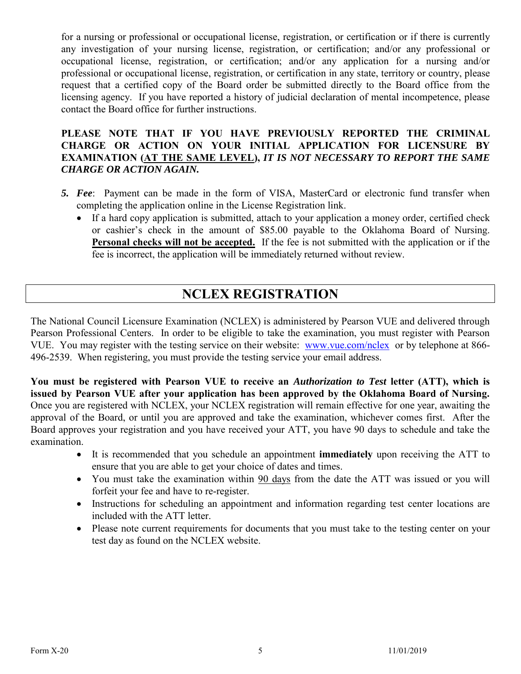for a nursing or professional or occupational license, registration, or certification or if there is currently any investigation of your nursing license, registration, or certification; and/or any professional or occupational license, registration, or certification; and/or any application for a nursing and/or professional or occupational license, registration, or certification in any state, territory or country, please request that a certified copy of the Board order be submitted directly to the Board office from the licensing agency. If you have reported a history of judicial declaration of mental incompetence, please contact the Board office for further instructions.

#### **PLEASE NOTE THAT IF YOU HAVE PREVIOUSLY REPORTED THE CRIMINAL CHARGE OR ACTION ON YOUR INITIAL APPLICATION FOR LICENSURE BY EXAMINATION (AT THE SAME LEVEL),** *IT IS NOT NECESSARY TO REPORT THE SAME CHARGE OR ACTION AGAIN.*

- *5. Fee*: Payment can be made in the form of VISA, MasterCard or electronic fund transfer when completing the application online in the License Registration link.
	- If a hard copy application is submitted, attach to your application a money order, certified check or cashier's check in the amount of \$85.00 payable to the Oklahoma Board of Nursing. **Personal checks will not be accepted.** If the fee is not submitted with the application or if the fee is incorrect, the application will be immediately returned without review.

# **NCLEX REGISTRATION**

The National Council Licensure Examination (NCLEX) is administered by Pearson VUE and delivered through Pearson Professional Centers. In order to be eligible to take the examination, you must register with Pearson VUE. You may register with the testing service on their website: [www.vue.com/nclex](http://www.vue.com/nclex) or by telephone at 866- 496-2539. When registering, you must provide the testing service your email address.

**You must be registered with Pearson VUE to receive an** *Authorization to Test* **letter (ATT), which is issued by Pearson VUE after your application has been approved by the Oklahoma Board of Nursing.**  Once you are registered with NCLEX, your NCLEX registration will remain effective for one year, awaiting the approval of the Board, or until you are approved and take the examination, whichever comes first. After the Board approves your registration and you have received your ATT, you have 90 days to schedule and take the examination.

- It is recommended that you schedule an appointment **immediately** upon receiving the ATT to ensure that you are able to get your choice of dates and times.
- You must take the examination within 90 days from the date the ATT was issued or you will forfeit your fee and have to re-register.
- Instructions for scheduling an appointment and information regarding test center locations are included with the ATT letter.
- Please note current requirements for documents that you must take to the testing center on your test day as found on the NCLEX website.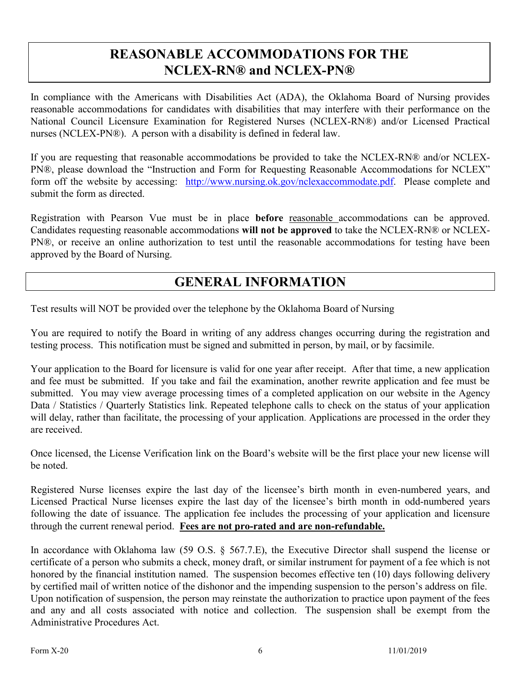# **REASONABLE ACCOMMODATIONS FOR THE NCLEX-RN® and NCLEX-PN®**

In compliance with the Americans with Disabilities Act (ADA), the Oklahoma Board of Nursing provides reasonable accommodations for candidates with disabilities that may interfere with their performance on the National Council Licensure Examination for Registered Nurses (NCLEX-RN®) and/or Licensed Practical nurses (NCLEX-PN®). A person with a disability is defined in federal law.

If you are requesting that reasonable accommodations be provided to take the NCLEX-RN® and/or NCLEX-PN®, please download the "Instruction and Form for Requesting Reasonable Accommodations for NCLEX" form off the website by accessing: [http://www.nursing.ok.gov/nclexaccommodate.pdf.](http://www.nursing.ok.gov/nclexaccommodate.pdf) Please complete and submit the form as directed.

Registration with Pearson Vue must be in place **before** reasonable accommodations can be approved. Candidates requesting reasonable accommodations **will not be approved** to take the NCLEX-RN® or NCLEX-PN®, or receive an online authorization to test until the reasonable accommodations for testing have been approved by the Board of Nursing.

### **GENERAL INFORMATION**

Test results will NOT be provided over the telephone by the Oklahoma Board of Nursing

You are required to notify the Board in writing of any address changes occurring during the registration and testing process. This notification must be signed and submitted in person, by mail, or by facsimile.

Your application to the Board for licensure is valid for one year after receipt. After that time, a new application and fee must be submitted. If you take and fail the examination, another rewrite application and fee must be submitted. You may view average processing times of a completed application on our website in the Agency Data / Statistics / Quarterly Statistics link. Repeated telephone calls to check on the status of your application will delay, rather than facilitate, the processing of your application. Applications are processed in the order they are received.

Once licensed, the License Verification link on the Board's website will be the first place your new license will be noted.

Registered Nurse licenses expire the last day of the licensee's birth month in even-numbered years, and Licensed Practical Nurse licenses expire the last day of the licensee's birth month in odd-numbered years following the date of issuance. The application fee includes the processing of your application and licensure through the current renewal period. **Fees are not pro-rated and are non-refundable.**

In accordance with Oklahoma law (59 O.S. § 567.7.E), the Executive Director shall suspend the license or certificate of a person who submits a check, money draft, or similar instrument for payment of a fee which is not honored by the financial institution named. The suspension becomes effective ten (10) days following delivery by certified mail of written notice of the dishonor and the impending suspension to the person's address on file. Upon notification of suspension, the person may reinstate the authorization to practice upon payment of the fees and any and all costs associated with notice and collection. The suspension shall be exempt from the Administrative Procedures Act.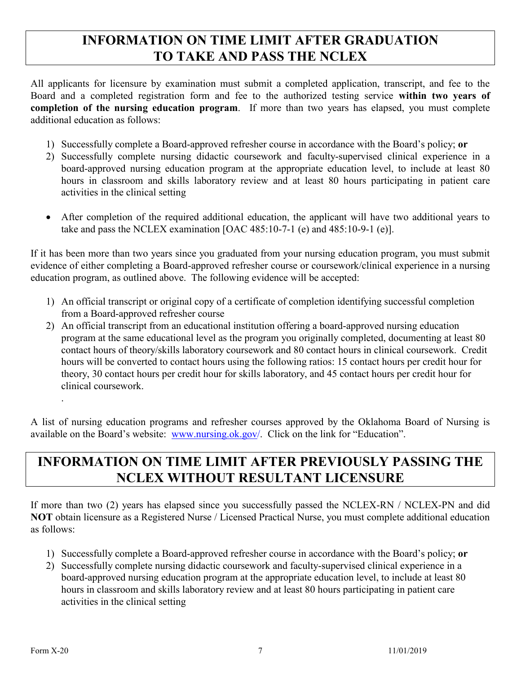# **INFORMATION ON TIME LIMIT AFTER GRADUATION TO TAKE AND PASS THE NCLEX**

All applicants for licensure by examination must submit a completed application, transcript, and fee to the Board and a completed registration form and fee to the authorized testing service **within two years of completion of the nursing education program**. If more than two years has elapsed, you must complete additional education as follows:

- 1) Successfully complete a Board-approved refresher course in accordance with the Board's policy; **or**
- 2) Successfully complete nursing didactic coursework and faculty-supervised clinical experience in a board-approved nursing education program at the appropriate education level, to include at least 80 hours in classroom and skills laboratory review and at least 80 hours participating in patient care activities in the clinical setting
- After completion of the required additional education, the applicant will have two additional years to take and pass the NCLEX examination [OAC 485:10-7-1 (e) and 485:10-9-1 (e)].

If it has been more than two years since you graduated from your nursing education program, you must submit evidence of either completing a Board-approved refresher course or coursework/clinical experience in a nursing education program, as outlined above. The following evidence will be accepted:

- 1) An official transcript or original copy of a certificate of completion identifying successful completion from a Board-approved refresher course
- 2) An official transcript from an educational institution offering a board-approved nursing education program at the same educational level as the program you originally completed, documenting at least 80 contact hours of theory/skills laboratory coursework and 80 contact hours in clinical coursework. Credit hours will be converted to contact hours using the following ratios: 15 contact hours per credit hour for theory, 30 contact hours per credit hour for skills laboratory, and 45 contact hours per credit hour for clinical coursework.

A list of nursing education programs and refresher courses approved by the Oklahoma Board of Nursing is available on the Board's website: [www.nursing.ok.gov/](http://www.ok.gov/nursing). Click on the link for "Education".

# **INFORMATION ON TIME LIMIT AFTER PREVIOUSLY PASSING THE NCLEX WITHOUT RESULTANT LICENSURE**

If more than two (2) years has elapsed since you successfully passed the NCLEX-RN / NCLEX-PN and did **NOT** obtain licensure as a Registered Nurse / Licensed Practical Nurse, you must complete additional education as follows:

- 1) Successfully complete a Board-approved refresher course in accordance with the Board's policy; **or**
- 2) Successfully complete nursing didactic coursework and faculty-supervised clinical experience in a board-approved nursing education program at the appropriate education level, to include at least 80 hours in classroom and skills laboratory review and at least 80 hours participating in patient care activities in the clinical setting

.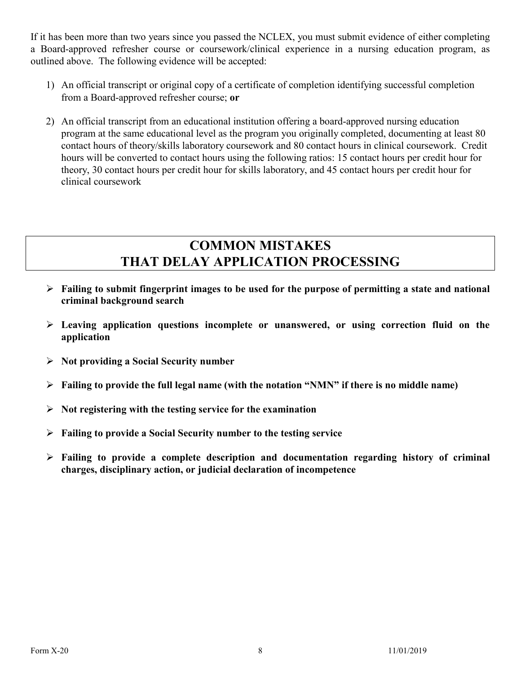If it has been more than two years since you passed the NCLEX, you must submit evidence of either completing a Board-approved refresher course or coursework/clinical experience in a nursing education program, as outlined above. The following evidence will be accepted:

- 1) An official transcript or original copy of a certificate of completion identifying successful completion from a Board-approved refresher course; **or**
- 2) An official transcript from an educational institution offering a board-approved nursing education program at the same educational level as the program you originally completed, documenting at least 80 contact hours of theory/skills laboratory coursework and 80 contact hours in clinical coursework. Credit hours will be converted to contact hours using the following ratios: 15 contact hours per credit hour for theory, 30 contact hours per credit hour for skills laboratory, and 45 contact hours per credit hour for clinical coursework

# **COMMON MISTAKES THAT DELAY APPLICATION PROCESSING**

- **Failing to submit fingerprint images to be used for the purpose of permitting a state and national criminal background search**
- **Leaving application questions incomplete or unanswered, or using correction fluid on the application**
- **Not providing a Social Security number**
- **Failing to provide the full legal name (with the notation "NMN" if there is no middle name)**
- **Not registering with the testing service for the examination**
- **Failing to provide a Social Security number to the testing service**
- **Failing to provide a complete description and documentation regarding history of criminal charges, disciplinary action, or judicial declaration of incompetence**